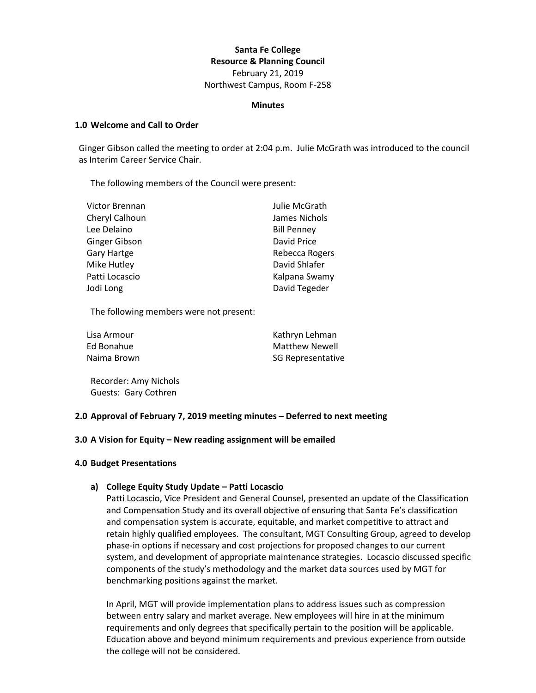# **Santa Fe College Resource & Planning Council** February 21, 2019

Northwest Campus, Room F-258

#### **Minutes**

### **1.0 Welcome and Call to Order**

Ginger Gibson called the meeting to order at 2:04 p.m. Julie McGrath was introduced to the council as Interim Career Service Chair.

The following members of the Council were present:

| Victor Brennan | Julie McGrath      |
|----------------|--------------------|
| Cheryl Calhoun | James Nichols      |
| Lee Delaino    | <b>Bill Penney</b> |
| Ginger Gibson  | David Price        |
| Gary Hartge    | Rebecca Rogers     |
| Mike Hutley    | David Shlafer      |
| Patti Locascio | Kalpana Swamy      |
| Jodi Long      | David Tegeder      |

The following members were not present:

| Lisa Armour | Kathryn Lehman        |
|-------------|-----------------------|
| Ed Bonahue  | <b>Matthew Newell</b> |
| Naima Brown | SG Representative     |

Recorder: Amy Nichols Guests: Gary Cothren

## **2.0 Approval of February 7, 2019 meeting minutes – Deferred to next meeting**

#### **3.0 A Vision for Equity – New reading assignment will be emailed**

#### **4.0 Budget Presentations**

## **a) College Equity Study Update – Patti Locascio**

Patti Locascio, Vice President and General Counsel, presented an update of the Classification and Compensation Study and its overall objective of ensuring that Santa Fe's classification and compensation system is accurate, equitable, and market competitive to attract and retain highly qualified employees. The consultant, MGT Consulting Group, agreed to develop phase-in options if necessary and cost projections for proposed changes to our current system, and development of appropriate maintenance strategies. Locascio discussed specific components of the study's methodology and the market data sources used by MGT for benchmarking positions against the market.

In April, MGT will provide implementation plans to address issues such as compression between entry salary and market average. New employees will hire in at the minimum requirements and only degrees that specifically pertain to the position will be applicable. Education above and beyond minimum requirements and previous experience from outside the college will not be considered.